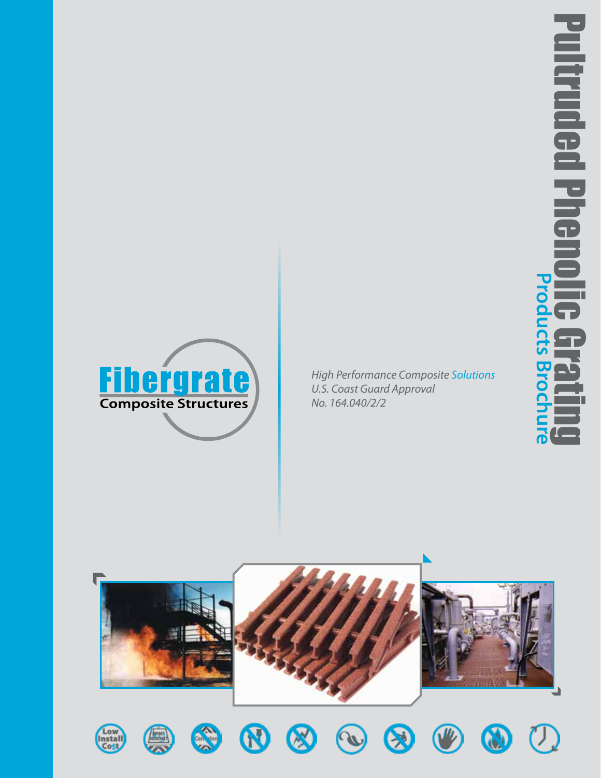



*High Performance Composite Solutions U.S. Coast Guard Approval No. 164.040/2/2*

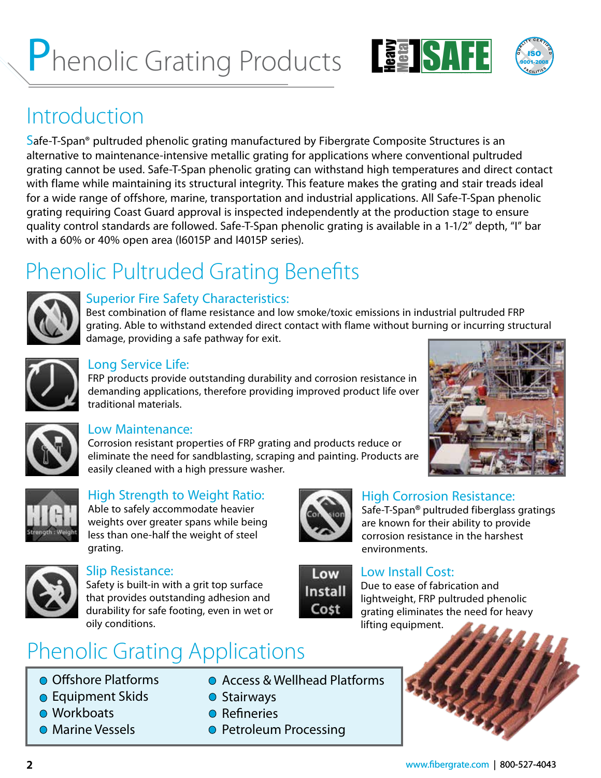# Phenolic Grating Products LEAD SAFE C



### Introduction

Safe-T-Span® pultruded phenolic grating manufactured by Fibergrate Composite Structures is an alternative to maintenance-intensive metallic grating for applications where conventional pultruded grating cannot be used. Safe-T-Span phenolic grating can withstand high temperatures and direct contact with flame while maintaining its structural integrity. This feature makes the grating and stair treads ideal for a wide range of offshore, marine, transportation and industrial applications. All Safe-T-Span phenolic grating requiring Coast Guard approval is inspected independently at the production stage to ensure quality control standards are followed. Safe-T-Span phenolic grating is available in a 1-1/2" depth, "I" bar with a 60% or 40% open area (I6015P and I4015P series).

## Phenolic Pultruded Grating Benefits



#### Superior Fire Safety Characteristics:

Best combination of flame resistance and low smoke/toxic emissions in industrial pultruded FRP grating. Able to withstand extended direct contact with flame without burning or incurring structural damage, providing a safe pathway for exit.



#### Long Service Life:

FRP products provide outstanding durability and corrosion resistance in demanding applications, therefore providing improved product life over traditional materials.



#### Low Maintenance:

Corrosion resistant properties of FRP grating and products reduce or eliminate the need for sandblasting, scraping and painting. Products are easily cleaned with a high pressure washer.





### High Strength to Weight Ratio:

Able to safely accommodate heavier weights over greater spans while being less than one-half the weight of steel grating.



#### Slip Resistance:

Safety is built-in with a grit top surface that provides outstanding adhesion and durability for safe footing, even in wet or oily conditions.

## Phenolic Grating Applications

- **Offshore Platforms**
- **Equipment Skids**
- **Workboats**
- **O** Marine Vessels
- Access & Wellhead Platforms
- Stairways
- **O** Refineries
- **O** Petroleum Processing



Low **Install** Cost

#### High Corrosion Resistance:

Safe-T-Span**®** pultruded fiberglass gratings are known for their ability to provide corrosion resistance in the harshest environments.

#### Low Install Cost:

Due to ease of fabrication and lightweight, FRP pultruded phenolic grating eliminates the need for heavy lifting equipment.

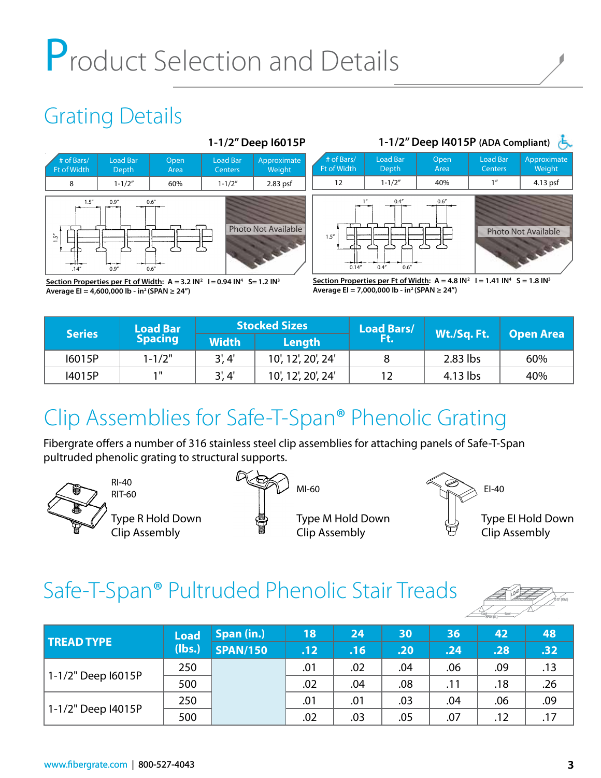# Product Selection and Details

## Grating Details





Section Properties per Ft of Width:  $A = 3.2$  IN<sup>2</sup>  $I = 0.94$  IN<sup>4</sup> S = 1.2 IN<sup>3</sup> **Average EI = 4,600,000 lb - in2 (SPAN ≥ 24")**

**<u>Section Properties per Ft of Width</u>:**  $A = 4.8$  **IN<sup>2</sup>**  $I = 1.41$  **IN<sup>4</sup>**  $S = 1.8$  **IN<sup>3</sup> Average EI = 7,000,000 lb - in2 (SPAN ≥ 24")**

| <b>Series</b> | <b>Load Bar</b> |              | <b>Stocked Sizes</b> | <b>Load Bars/</b> |             | <b>Open Area</b> |  |
|---------------|-----------------|--------------|----------------------|-------------------|-------------|------------------|--|
|               | <b>Spacing</b>  | <b>Width</b> | Length               | FG.               | Wt./Sq. Ft. |                  |  |
| 16015P        | $1 - 1/2"$      | 3', 4'       | 10', 12', 20', 24'   |                   | $2.83$ lbs  | 60%              |  |
| 14015P        | 1 II            | 3', 4'       | 10', 12', 20', 24'   | 12                | $4.13$ lbs  | 40%              |  |

## Clip Assemblies for Safe-T-Span® Phenolic Grating

Fibergrate offers a number of 316 stainless steel clip assemblies for attaching panels of Safe-T-Span pultruded phenolic grating to structural supports.



RI-40

Type R Hold Down Clip Assembly







Type EI Hold Down Clip Assembly

## Safe-T-Span® Pultruded Phenolic Stair Treads



| <b>TREAD TYPE</b>  | <b>Load</b> | Span (in.)      | 18  | 24  | 30  | 36               | 42  | 48  |
|--------------------|-------------|-----------------|-----|-----|-----|------------------|-----|-----|
|                    | (lbs.)      | <b>SPAN/150</b> | .12 | .16 | .20 | .24 <sub>1</sub> | .28 | .32 |
|                    | 250         |                 | .01 | .02 | .04 | .06              | .09 | .13 |
| 1-1/2" Deep I6015P | 500         |                 | .02 | .04 | .08 | .11              | .18 | .26 |
|                    | 250         |                 | .01 | .01 | .03 | .04              | .06 | .09 |
| 1-1/2" Deep l4015P | 500         |                 | .02 | .03 | .05 | .07              | .12 | .17 |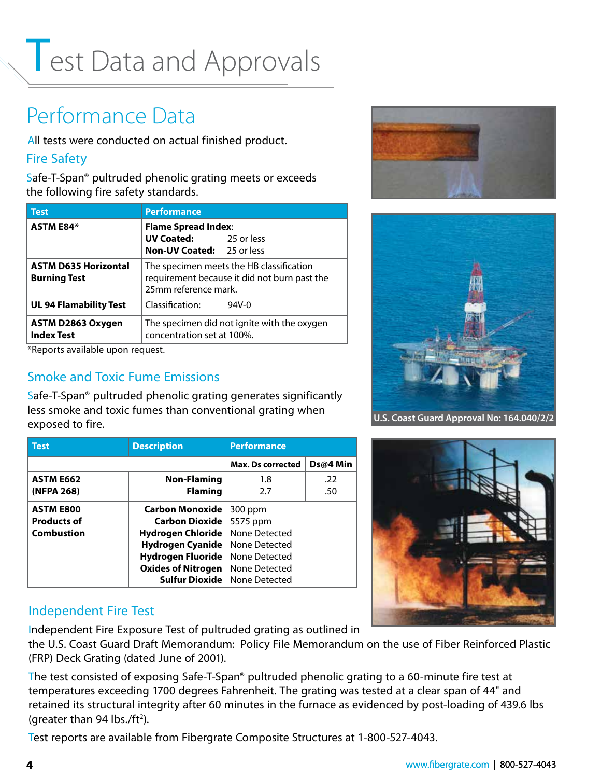## Test Data and Approvals

## Performance Data

All tests were conducted on actual finished product.

#### Fire Safety

Safe-T-Span® pultruded phenolic grating meets or exceeds the following fire safety standards.

| <b>Test</b>                                        | <b>Performance</b>                                                                                               |         |  |  |  |  |  |
|----------------------------------------------------|------------------------------------------------------------------------------------------------------------------|---------|--|--|--|--|--|
| <b>ASTM E84*</b>                                   | <b>Flame Spread Index:</b>                                                                                       |         |  |  |  |  |  |
|                                                    | <b>UV Coated:</b> 25 or less                                                                                     |         |  |  |  |  |  |
|                                                    | <b>Non-UV Coated:</b> 25 or less                                                                                 |         |  |  |  |  |  |
| <b>ASTM D635 Horizontal</b><br><b>Burning Test</b> | The specimen meets the HB classification<br>requirement because it did not burn past the<br>25mm reference mark. |         |  |  |  |  |  |
| <b>UL 94 Flamability Test</b>                      | Classification:                                                                                                  | $94V-0$ |  |  |  |  |  |
| ASTM D2863 Oxygen<br><b>Index Test</b>             | The specimen did not ignite with the oxygen<br>concentration set at 100%.                                        |         |  |  |  |  |  |

\*Reports available upon request.

#### Smoke and Toxic Fume Emissions

Safe-T-Span® pultruded phenolic grating generates significantly less smoke and toxic fumes than conventional grating when exposed to fire.

| <b>Test</b>        | <b>Description</b>        | <b>Performance</b>       |          |  |  |  |
|--------------------|---------------------------|--------------------------|----------|--|--|--|
|                    |                           | <b>Max. Ds corrected</b> | Ds@4 Min |  |  |  |
| <b>ASTM E662</b>   | <b>Non-Flaming</b>        | 1.8                      | .22      |  |  |  |
| (NFPA 268)         | <b>Flaming</b>            | 2.7                      | .50      |  |  |  |
| <b>ASTM E800</b>   | <b>Carbon Monoxide</b>    | 300 ppm                  |          |  |  |  |
| <b>Products of</b> | <b>Carbon Dioxide</b>     | 5575 ppm                 |          |  |  |  |
| <b>Combustion</b>  | <b>Hydrogen Chloride</b>  | None Detected            |          |  |  |  |
|                    | <b>Hydrogen Cyanide</b>   | None Detected            |          |  |  |  |
|                    | Hydrogen Fluoride         | None Detected            |          |  |  |  |
|                    | <b>Oxides of Nitrogen</b> | None Detected            |          |  |  |  |
|                    | <b>Sulfur Dioxide</b>     | None Detected            |          |  |  |  |

#### Independent Fire Test

Independent Fire Exposure Test of pultruded grating as outlined in

the U.S. Coast Guard Draft Memorandum: Policy File Memorandum on the use of Fiber Reinforced Plastic (FRP) Deck Grating (dated June of 2001).

The test consisted of exposing Safe-T-Span® pultruded phenolic grating to a 60-minute fire test at temperatures exceeding 1700 degrees Fahrenheit. The grating was tested at a clear span of 44" and retained its structural integrity after 60 minutes in the furnace as evidenced by post-loading of 439.6 lbs (greater than 94 lbs./ft<sup>2</sup>).

Test reports are available from Fibergrate Composite Structures at 1-800-527-4043.





**U.S. Coast Guard Approval No: 164.040/2/2**

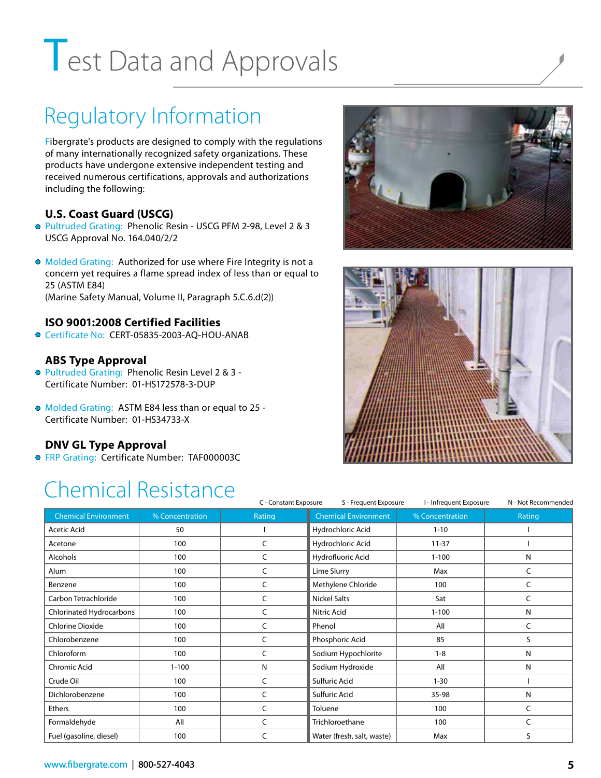# Test Data and Approvals

## Regulatory Information

Fibergrate's products are designed to comply with the regulations of many internationally recognized safety organizations. These products have undergone extensive independent testing and received numerous certifications, approvals and authorizations including the following:

#### **U.S. Coast Guard (USCG)**

- Pultruded Grating: Phenolic Resin USCG PFM 2-98, Level 2 & 3 USCG Approval No. 164.040/2/2
- Molded Grating: Authorized for use where Fire Integrity is not a concern yet requires a flame spread index of less than or equal to 25 (ASTM E84) (Marine Safety Manual, Volume II, Paragraph 5.C.6.d(2))

#### **ISO 9001:2008 Certified Facilities**

● Certificate No: CERT-05835-2003-AO-HOU-ANAB

#### **ABS Type Approval**

- Pultruded Grating: Phenolic Resin Level 2 & 3 -Certificate Number: 01-HS172578-3-DUP
- Molded Grating: ASTM E84 less than or equal to 25 Certificate Number: 01-HS34733-X

#### **DNV GL Type Approval**

**• FRP Grating: Certificate Number: TAF000003C** 

## Chemical Resistance





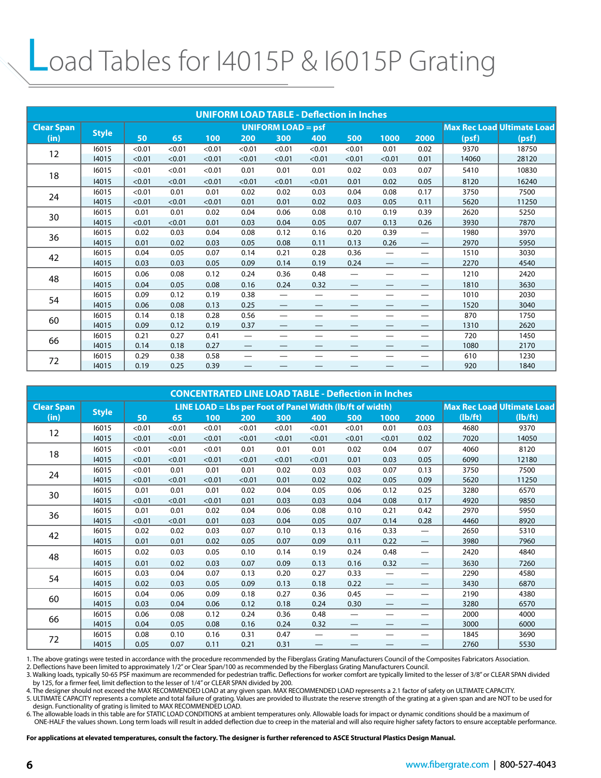## Load Tables for I4015P & I6015P Grating

| <b>UNIFORM LOAD TABLE - Deflection in Inches</b> |              |        |                           |        |                          |                                |                                 |                          |                          |                                |       |                                   |
|--------------------------------------------------|--------------|--------|---------------------------|--------|--------------------------|--------------------------------|---------------------------------|--------------------------|--------------------------|--------------------------------|-------|-----------------------------------|
| <b>Clear Span</b>                                |              |        | <b>UNIFORM LOAD = psf</b> |        |                          |                                |                                 |                          |                          |                                |       | <b>Max Rec Load Ultimate Load</b> |
| (in)                                             | <b>Style</b> | 50     | 65                        | 100    | 200                      | 300                            | 400                             | 500                      | 1000                     | 2000                           | (psf) | (psf)                             |
| 12                                               | 16015        | < 0.01 | < 0.01                    | < 0.01 | < 0.01                   | < 0.01                         | < 0.01                          | < 0.01                   | 0.01                     | 0.02                           | 9370  | 18750                             |
|                                                  | 14015        | < 0.01 | < 0.01                    | < 0.01 | < 0.01                   | < 0.01                         | < 0.01                          | < 0.01                   | < 0.01                   | 0.01                           | 14060 | 28120                             |
| 18                                               | 16015        | < 0.01 | < 0.01                    | < 0.01 | 0.01                     | 0.01                           | 0.01                            | 0.02                     | 0.03                     | 0.07                           | 5410  | 10830                             |
|                                                  | 14015        | < 0.01 | < 0.01                    | < 0.01 | < 0.01                   | < 0.01                         | < 0.01                          | 0.01                     | 0.02                     | 0.05                           | 8120  | 16240                             |
| 24                                               | 16015        | < 0.01 | 0.01                      | 0.01   | 0.02                     | 0.02                           | 0.03                            | 0.04                     | 0.08                     | 0.17                           | 3750  | 7500                              |
|                                                  | 14015        | < 0.01 | < 0.01                    | < 0.01 | 0.01                     | 0.01                           | 0.02                            | 0.03                     | 0.05                     | 0.11                           | 5620  | 11250                             |
| 30                                               | 16015        | 0.01   | 0.01                      | 0.02   | 0.04                     | 0.06                           | 0.08                            | 0.10                     | 0.19                     | 0.39                           | 2620  | 5250                              |
|                                                  | 14015        | < 0.01 | < 0.01                    | 0.01   | 0.03                     | 0.04                           | 0.05                            | 0.07                     | 0.13                     | 0.26                           | 3930  | 7870                              |
| 36                                               | 16015        | 0.02   | 0.03                      | 0.04   | 0.08                     | 0.12                           | 0.16                            | 0.20                     | 0.39                     |                                | 1980  | 3970                              |
|                                                  | 14015        | 0.01   | 0.02                      | 0.03   | 0.05                     | 0.08                           | 0.11                            | 0.13                     | 0.26                     | $\qquad \qquad -$              | 2970  | 5950                              |
| 42                                               | 16015        | 0.04   | 0.05                      | 0.07   | 0.14                     | 0.21                           | 0.28                            | 0.36                     | $\overline{\phantom{0}}$ |                                | 1510  | 3030                              |
|                                                  | 14015        | 0.03   | 0.03                      | 0.05   | 0.09                     | 0.14                           | 0.19                            | 0.24                     |                          | $\hspace{0.05cm}$              | 2270  | 4540                              |
| 48                                               | 16015        | 0.06   | 0.08                      | 0.12   | 0.24                     | 0.36                           | 0.48                            | $\overline{\phantom{0}}$ | —                        | —                              | 1210  | 2420                              |
|                                                  | 14015        | 0.04   | 0.05                      | 0.08   | 0.16                     | 0.24                           | 0.32                            | $\overline{\phantom{0}}$ | –                        |                                | 1810  | 3630                              |
| 54                                               | 16015        | 0.09   | 0.12                      | 0.19   | 0.38                     | $\overline{\phantom{m}}$       | $\overline{\phantom{0}}$        | —                        |                          |                                | 1010  | 2030                              |
|                                                  | 14015        | 0.06   | 0.08                      | 0.13   | 0.25                     | $\qquad \qquad \longleftarrow$ | $\hspace{0.1mm}-\hspace{0.1mm}$ | $\overline{\phantom{0}}$ | $\overline{\phantom{0}}$ | $\qquad \qquad \longleftarrow$ | 1520  | 3040                              |
| 60                                               | 16015        | 0.14   | 0.18                      | 0.28   | 0.56                     | $\overline{\phantom{0}}$       |                                 |                          |                          |                                | 870   | 1750                              |
|                                                  | 14015        | 0.09   | 0.12                      | 0.19   | 0.37                     |                                |                                 |                          |                          | $\overline{\phantom{0}}$       | 1310  | 2620                              |
| 66                                               | 16015        | 0.21   | 0.27                      | 0.41   |                          | —                              | $\overline{\phantom{0}}$        | —                        | —                        |                                | 720   | 1450                              |
|                                                  | 14015        | 0.14   | 0.18                      | 0.27   | —                        |                                |                                 |                          |                          | —                              | 1080  | 2170                              |
|                                                  | 16015        | 0.29   | 0.38                      | 0.58   | $\overline{\phantom{0}}$ |                                |                                 |                          |                          | —                              | 610   | 1230                              |
| 72                                               | 14015        | 0.19   | 0.25                      | 0.39   |                          |                                |                                 |                          |                          |                                | 920   | 1840                              |

| <b>CONCENTRATED LINE LOAD TABLE - Deflection in Inches</b> |              |                                                          |        |        |        |        |                          |                   |                   |                                |         |                                   |
|------------------------------------------------------------|--------------|----------------------------------------------------------|--------|--------|--------|--------|--------------------------|-------------------|-------------------|--------------------------------|---------|-----------------------------------|
| <b>Clear Span</b>                                          |              | LINE LOAD = Lbs per Foot of Panel Width (lb/ft of width) |        |        |        |        |                          |                   |                   |                                |         | <b>Max Rec Load Ultimate Load</b> |
| (in)                                                       | <b>Style</b> | 50                                                       | 65     | 100    | 200    | 300    | 400                      | 500               | 1000              | 2000                           | (lb/ft) | (lb/ft)                           |
|                                                            | 16015        | < 0.01                                                   | < 0.01 | < 0.01 | < 0.01 | < 0.01 | < 0.01                   | < 0.01            | 0.01              | 0.03                           | 4680    | 9370                              |
| 12                                                         | 14015        | < 0.01                                                   | < 0.01 | < 0.01 | < 0.01 | < 0.01 | < 0.01                   | < 0.01            | < 0.01            | 0.02                           | 7020    | 14050                             |
| 18                                                         | 16015        | < 0.01                                                   | < 0.01 | < 0.01 | 0.01   | 0.01   | 0.01                     | 0.02              | 0.04              | 0.07                           | 4060    | 8120                              |
|                                                            | 14015        | < 0.01                                                   | < 0.01 | < 0.01 | < 0.01 | < 0.01 | < 0.01                   | 0.01              | 0.03              | 0.05                           | 6090    | 12180                             |
| 24                                                         | 16015        | < 0.01                                                   | 0.01   | 0.01   | 0.01   | 0.02   | 0.03                     | 0.03              | 0.07              | 0.13                           | 3750    | 7500                              |
|                                                            | 14015        | < 0.01                                                   | < 0.01 | < 0.01 | < 0.01 | 0.01   | 0.02                     | 0.02              | 0.05              | 0.09                           | 5620    | 11250                             |
|                                                            | 16015        | 0.01                                                     | 0.01   | 0.01   | 0.02   | 0.04   | 0.05                     | 0.06              | 0.12              | 0.25                           | 3280    | 6570                              |
| 30                                                         | 14015        | < 0.01                                                   | < 0.01 | < 0.01 | 0.01   | 0.03   | 0.03                     | 0.04              | 0.08              | 0.17                           | 4920    | 9850                              |
| 36                                                         | 16015        | 0.01                                                     | 0.01   | 0.02   | 0.04   | 0.06   | 0.08                     | 0.10              | 0.21              | 0.42                           | 2970    | 5950                              |
|                                                            | 14015        | < 0.01                                                   | < 0.01 | 0.01   | 0.03   | 0.04   | 0.05                     | 0.07              | 0.14              | 0.28                           | 4460    | 8920                              |
| 42                                                         | 16015        | 0.02                                                     | 0.02   | 0.03   | 0.07   | 0.10   | 0.13                     | 0.16              | 0.33              | $\overline{\phantom{0}}$       | 2650    | 5310                              |
|                                                            | 14015        | 0.01                                                     | 0.01   | 0.02   | 0.05   | 0.07   | 0.09                     | 0.11              | 0.22              | $\hspace{0.05cm}$              | 3980    | 7960                              |
| 48                                                         | 16015        | 0.02                                                     | 0.03   | 0.05   | 0.10   | 0.14   | 0.19                     | 0.24              | 0.48              | $\qquad \qquad$                | 2420    | 4840                              |
|                                                            | 14015        | 0.01                                                     | 0.02   | 0.03   | 0.07   | 0.09   | 0.13                     | 0.16              | 0.32              |                                | 3630    | 7260                              |
| 54                                                         | 16015        | 0.03                                                     | 0.04   | 0.07   | 0.13   | 0.20   | 0.27                     | 0.33              |                   | $\qquad \qquad$                | 2290    | 4580                              |
|                                                            | 14015        | 0.02                                                     | 0.03   | 0.05   | 0.09   | 0.13   | 0.18                     | 0.22              | $\hspace{0.05cm}$ |                                | 3430    | 6870                              |
|                                                            | 16015        | 0.04                                                     | 0.06   | 0.09   | 0.18   | 0.27   | 0.36                     | 0.45              | $\hspace{0.05cm}$ |                                | 2190    | 4380                              |
| 60                                                         | 14015        | 0.03                                                     | 0.04   | 0.06   | 0.12   | 0.18   | 0.24                     | 0.30              |                   | $\qquad \qquad \longleftarrow$ | 3280    | 6570                              |
| 66                                                         | 16015        | 0.06                                                     | 0.08   | 0.12   | 0.24   | 0.36   | 0.48                     | $\hspace{0.05cm}$ | —                 | —                              | 2000    | 4000                              |
|                                                            | 14015        | 0.04                                                     | 0.05   | 0.08   | 0.16   | 0.24   | 0.32                     | —                 |                   | $\overline{\phantom{0}}$       | 3000    | 6000                              |
| 72                                                         | 16015        | 0.08                                                     | 0.10   | 0.16   | 0.31   | 0.47   | $\overline{\phantom{0}}$ | —                 | —                 | $\qquad \qquad \longleftarrow$ | 1845    | 3690                              |
|                                                            | 14015        | 0.05                                                     | 0.07   | 0.11   | 0.21   | 0.31   |                          |                   |                   |                                | 2760    | 5530                              |

1. The above gratings were tested in accordance with the procedure recommended by the Fiberglass Grating Manufacturers Council of the Composites Fabricators Association.

2. Deflections have been limited to approximately 1/2″ or Clear Span/100 as recommended by the Fiberglass Grating Manufacturers Council.<br>3. Walking loads, typically 50-65 PSF maximum are recommended for pedestrian traffic. by 125, for a firmer feel, limit deflection to the lesser of 1/4" or CLEAR SPAN divided by 200.

4. The designer should not exceed the MAX RECOMMENDED LOAD at any given span. MAX RECOMMENDED LOAD represents a 2.1 factor of safety on ULTIMATE CAPACITY.<br>5. ULTIMATE CAPACITY represents a complete and total failure of gra design. Functionality of grating is limited to MAX RECOMMENDED LOAD.

6. The allowable loads in this table are for STATIC LOAD CONDITIONS at ambient temperatures only. Allowable loads for impact or dynamic conditions should be a maximum of ONE-HALF the values shown. Long term loads will result in added deflection due to creep in the material and will also require higher safety factors to ensure acceptable performance.

**For applications at elevated temperatures, consult the factory. The designer is further referenced to ASCE Structural Plastics Design Manual.**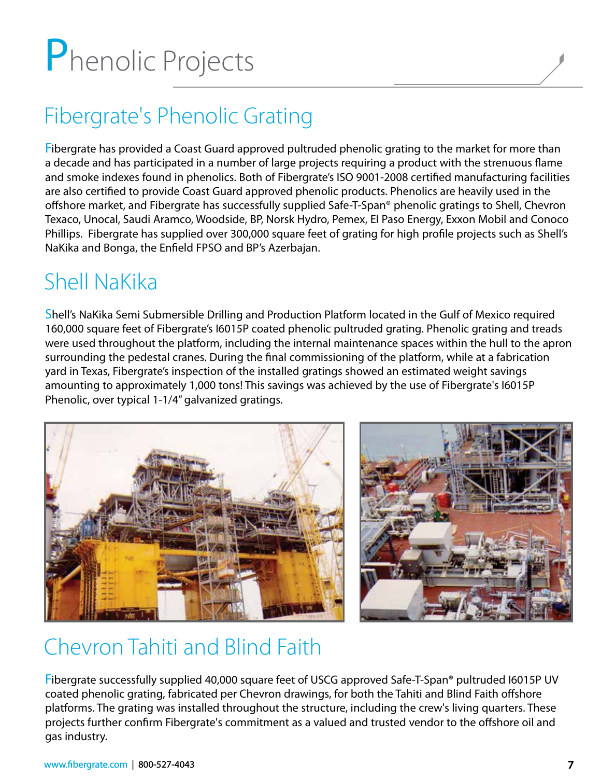# Phenolic Projects

## Fibergrate's Phenolic Grating

Fibergrate has provided a Coast Guard approved pultruded phenolic grating to the market for more than a decade and has participated in a number of large projects requiring a product with the strenuous flame and smoke indexes found in phenolics. Both of Fibergrate's ISO 9001-2008 certified manufacturing facilities are also certified to provide Coast Guard approved phenolic products. Phenolics are heavily used in the offshore market, and Fibergrate has successfully supplied Safe-T-Span® phenolic gratings to Shell, Chevron Texaco, Unocal, Saudi Aramco, Woodside, BP, Norsk Hydro, Pemex, El Paso Energy, Exxon Mobil and Conoco Phillips. Fibergrate has supplied over 300,000 square feet of grating for high profile projects such as Shell's NaKika and Bonga, the Enfield FPSO and BP's Azerbajan.

## Shell NaKika

Shell's NaKika Semi Submersible Drilling and Production Platform located in the Gulf of Mexico required 160,000 square feet of Fibergrate's I6015P coated phenolic pultruded grating. Phenolic grating and treads were used throughout the platform, including the internal maintenance spaces within the hull to the apron surrounding the pedestal cranes. During the final commissioning of the platform, while at a fabrication yard in Texas, Fibergrate's inspection of the installed gratings showed an estimated weight savings amounting to approximately 1,000 tons! This savings was achieved by the use of Fibergrate's I6015P Phenolic, over typical 1-1/4" galvanized gratings.





## Chevron Tahiti and Blind Faith

Fibergrate successfully supplied 40,000 square feet of USCG approved Safe-T-Span® pultruded I6015P UV coated phenolic grating, fabricated per Chevron drawings, for both the Tahiti and Blind Faith offshore platforms. The grating was installed throughout the structure, including the crew's living quarters. These projects further confirm Fibergrate's commitment as a valued and trusted vendor to the offshore oil and gas industry.